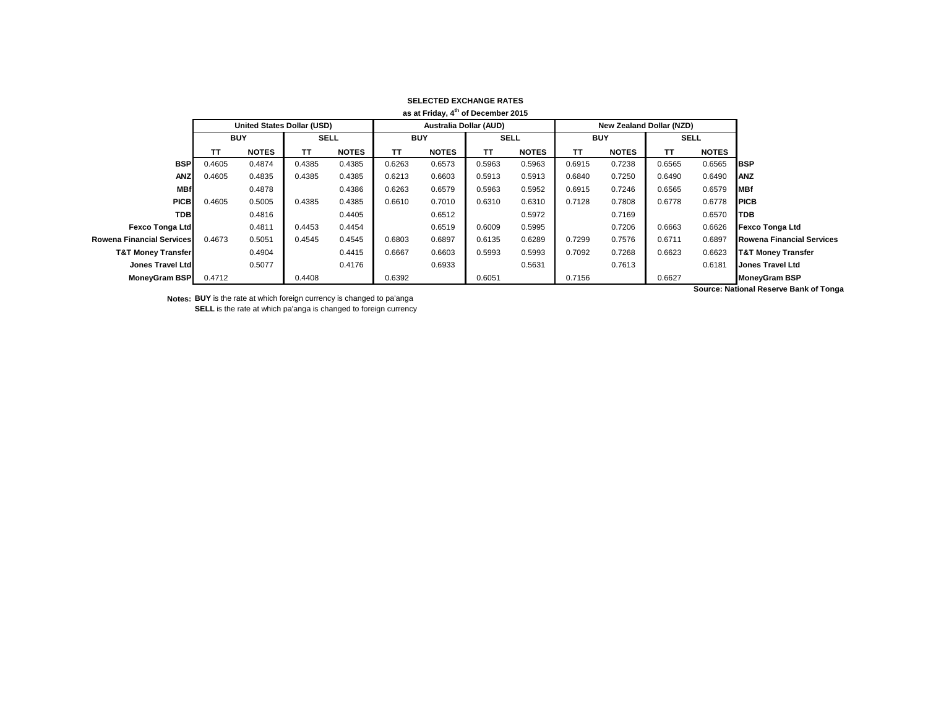|                               |                                   |              |             |              |                               | as at Friday, 4th of December 2015 |             |              |            |                                 |             |              |                                              |
|-------------------------------|-----------------------------------|--------------|-------------|--------------|-------------------------------|------------------------------------|-------------|--------------|------------|---------------------------------|-------------|--------------|----------------------------------------------|
|                               | <b>United States Dollar (USD)</b> |              |             |              | <b>Australia Dollar (AUD)</b> |                                    |             |              |            | <b>New Zealand Dollar (NZD)</b> |             |              |                                              |
|                               | <b>BUY</b>                        |              | <b>SELL</b> |              | <b>BUY</b>                    |                                    | <b>SELL</b> |              | <b>BUY</b> |                                 | <b>SELL</b> |              |                                              |
|                               | TΤ                                | <b>NOTES</b> | TΤ          | <b>NOTES</b> | ТΤ                            | <b>NOTES</b>                       | TΤ          | <b>NOTES</b> | <b>TT</b>  | <b>NOTES</b>                    | ΤT          | <b>NOTES</b> |                                              |
| <b>BSP</b>                    | 0.4605                            | 0.4874       | 0.4385      | 0.4385       | 0.6263                        | 0.6573                             | 0.5963      | 0.5963       | 0.6915     | 0.7238                          | 0.6565      | 0.6565       | <b>BSP</b>                                   |
| <b>ANZ</b>                    | 0.4605                            | 0.4835       | 0.4385      | 0.4385       | 0.6213                        | 0.6603                             | 0.5913      | 0.5913       | 0.6840     | 0.7250                          | 0.6490      | 0.6490       | <b>ANZ</b>                                   |
| <b>MBf</b>                    |                                   | 0.4878       |             | 0.4386       | 0.6263                        | 0.6579                             | 0.5963      | 0.5952       | 0.6915     | 0.7246                          | 0.6565      | 0.6579       | <b>MBf</b>                                   |
| <b>PICB</b>                   | 0.4605                            | 0.5005       | 0.4385      | 0.4385       | 0.6610                        | 0.7010                             | 0.6310      | 0.6310       | 0.7128     | 0.7808                          | 0.6778      | 0.6778       | <b>PICB</b>                                  |
| <b>TDB</b>                    |                                   | 0.4816       |             | 0.4405       |                               | 0.6512                             |             | 0.5972       |            | 0.7169                          |             | 0.6570       | <b>TDB</b>                                   |
| <b>Fexco Tonga Ltd</b>        |                                   | 0.4811       | 0.4453      | 0.4454       |                               | 0.6519                             | 0.6009      | 0.5995       |            | 0.7206                          | 0.6663      | 0.6626       | <b>Fexco Tonga Ltd</b>                       |
| Rowena Financial Services     | 0.4673                            | 0.5051       | 0.4545      | 0.4545       | 0.6803                        | 0.6897                             | 0.6135      | 0.6289       | 0.7299     | 0.7576                          | 0.6711      | 0.6897       | <b>Rowena Financial Services</b>             |
| <b>T&amp;T Money Transfer</b> |                                   | 0.4904       |             | 0.4415       | 0.6667                        | 0.6603                             | 0.5993      | 0.5993       | 0.7092     | 0.7268                          | 0.6623      | 0.6623       | <b>T&amp;T Money Transfer</b>                |
| Jones Travel Ltd              |                                   | 0.5077       |             | 0.4176       |                               | 0.6933                             |             | 0.5631       |            | 0.7613                          |             | 0.6181       | <b>Jones Travel Ltd</b>                      |
| <b>MoneyGram BSP</b>          | 0.4712                            |              | 0.4408      |              | 0.6392                        |                                    | 0.6051      |              | 0.7156     |                                 | 0.6627      |              | <b>MoneyGram BSP</b>                         |
|                               |                                   |              |             |              |                               |                                    |             |              |            |                                 |             |              | <b>Course: National Pecesic Pank of Tons</b> |

## **SELECTED EXCHANGE RATES**

**Notes: BUY** is the rate at which foreign currency is changed to pa'anga **SELL** is the rate at which pa'anga is changed to foreign currency **Source: National Reserve Bank of Tonga**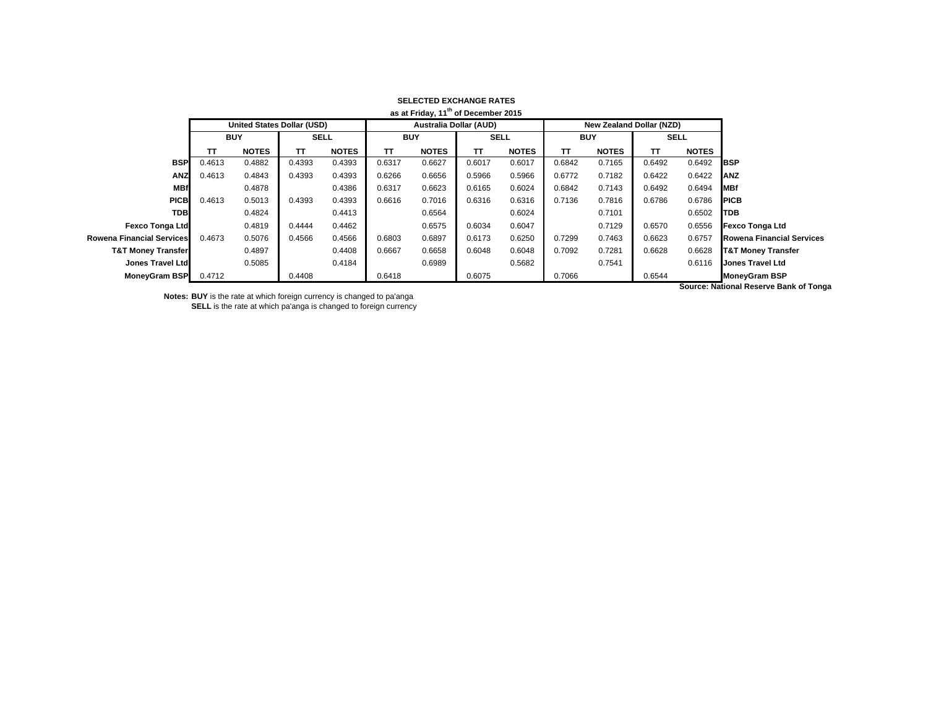|                                  |                            |              |             |              |                               | as at Friday, 11 <sup>th</sup> of December 2015 |             |              |            |                                 |             |              |                                              |
|----------------------------------|----------------------------|--------------|-------------|--------------|-------------------------------|-------------------------------------------------|-------------|--------------|------------|---------------------------------|-------------|--------------|----------------------------------------------|
|                                  | United States Dollar (USD) |              |             |              | <b>Australia Dollar (AUD)</b> |                                                 |             |              |            | <b>New Zealand Dollar (NZD)</b> |             |              |                                              |
|                                  | <b>BUY</b>                 |              | <b>SELL</b> |              | <b>BUY</b>                    |                                                 | <b>SELL</b> |              | <b>BUY</b> |                                 | <b>SELL</b> |              |                                              |
|                                  | ΤТ                         | <b>NOTES</b> | TΤ          | <b>NOTES</b> | TΤ                            | <b>NOTES</b>                                    | TT.         | <b>NOTES</b> | TΤ         | <b>NOTES</b>                    | TΤ          | <b>NOTES</b> |                                              |
| <b>BSP</b>                       | 0.4613                     | 0.4882       | 0.4393      | 0.4393       | 0.6317                        | 0.6627                                          | 0.6017      | 0.6017       | 0.6842     | 0.7165                          | 0.6492      | 0.6492       | <b>IBSP</b>                                  |
| <b>ANZ</b>                       | 0.4613                     | 0.4843       | 0.4393      | 0.4393       | 0.6266                        | 0.6656                                          | 0.5966      | 0.5966       | 0.6772     | 0.7182                          | 0.6422      | 0.6422       | <b>ANZ</b>                                   |
| <b>MBf</b>                       |                            | 0.4878       |             | 0.4386       | 0.6317                        | 0.6623                                          | 0.6165      | 0.6024       | 0.6842     | 0.7143                          | 0.6492      | 0.6494       | <b>MBf</b>                                   |
| <b>PICB</b>                      | 0.4613                     | 0.5013       | 0.4393      | 0.4393       | 0.6616                        | 0.7016                                          | 0.6316      | 0.6316       | 0.7136     | 0.7816                          | 0.6786      | 0.6786       | <b>PICB</b>                                  |
| <b>TDB</b>                       |                            | 0.4824       |             | 0.4413       |                               | 0.6564                                          |             | 0.6024       |            | 0.7101                          |             | 0.6502       | <b>ITDB</b>                                  |
| <b>Fexco Tonga Ltd</b>           |                            | 0.4819       | 0.4444      | 0.4462       |                               | 0.6575                                          | 0.6034      | 0.6047       |            | 0.7129                          | 0.6570      | 0.6556       | <b>Fexco Tonga Ltd</b>                       |
| <b>Rowena Financial Services</b> | 0.4673                     | 0.5076       | 0.4566      | 0.4566       | 0.6803                        | 0.6897                                          | 0.6173      | 0.6250       | 0.7299     | 0.7463                          | 0.6623      | 0.6757       | <b>Rowena Financial Services</b>             |
| <b>T&amp;T Money Transfer</b>    |                            | 0.4897       |             | 0.4408       | 0.6667                        | 0.6658                                          | 0.6048      | 0.6048       | 0.7092     | 0.7281                          | 0.6628      | 0.6628       | <b>T&amp;T Money Transfer</b>                |
| Jones Travel Ltd                 |                            | 0.5085       |             | 0.4184       |                               | 0.6989                                          |             | 0.5682       |            | 0.7541                          |             | 0.6116       | <b>Jones Travel Ltd</b>                      |
| MoneyGram BSP                    | 0.4712                     |              | 0.4408      |              | 0.6418                        |                                                 | 0.6075      |              | 0.7066     |                                 | 0.6544      |              | <b>MoneyGram BSP</b>                         |
|                                  |                            |              |             |              |                               |                                                 |             |              |            |                                 |             |              | <b>Course: National Poserve Bank of Tony</b> |

## **SELECTED EXCHANGE RATES**

**Notes: BUY** is the rate at which foreign currency is changed to pa'anga **SELL** is the rate at which pa'anga is changed to foreign currency **Source: National Reserve Bank of Tonga**